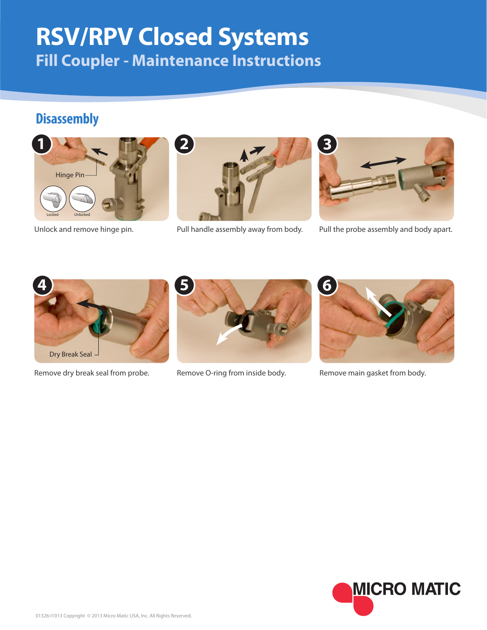## **RSV/RPV Closed Systems Fill Coupler - Maintenance Instructions**

## **Disassembly**







Unlock and remove hinge pin. Pull handle assembly away from body. Pull the probe assembly and body apart.



Remove dry break seal from probe. Remove O-ring from inside body. Remove main gasket from body.